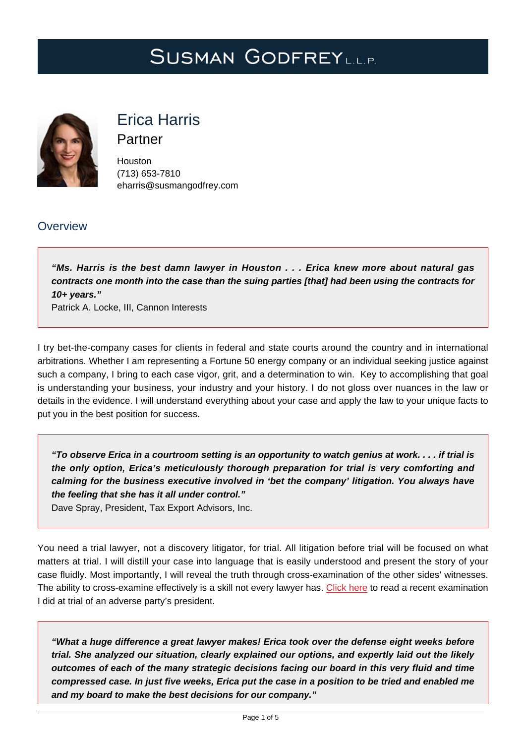# SUSMAN GODFREYLL.P.



# Erica Harris

Partner

Houston (713) 653-7810 [eharris@susmangodfrey.com](mailto:eharris@susmangodfrey.com)

## **Overview**

**"Ms. Harris is the best damn lawyer in Houston . . . Erica knew more about natural gas contracts one month into the case than the suing parties [that] had been using the contracts for 10+ years."**

Patrick A. Locke, III, Cannon Interests

I try bet-the-company cases for clients in federal and state courts around the country and in international arbitrations. Whether I am representing a Fortune 50 energy company or an individual seeking justice against such a company, I bring to each case vigor, grit, and a determination to win. Key to accomplishing that goal is understanding your business, your industry and your history. I do not gloss over nuances in the law or details in the evidence. I will understand everything about your case and apply the law to your unique facts to put you in the best position for success.

**"To observe Erica in a courtroom setting is an opportunity to watch genius at work. . . . if trial is the only option, Erica's meticulously thorough preparation for trial is very comforting and calming for the business executive involved in 'bet the company' litigation. You always have the feeling that she has it all under control."**

Dave Spray, President, Tax Export Advisors, Inc.

You need a trial lawyer, not a discovery litigator, for trial. All litigation before trial will be focused on what matters at trial. I will distill your case into language that is easily understood and present the story of your case fluidly. Most importantly, I will reveal the truth through cross-examination of the other sides' witnesses. The ability to cross-examine effectively is a skill not every lawyer has. [Click here](https://www.susmangodfrey.com/wp-content/uploads/2019/09/ehar-trial-on-adverse.pdf) to read a recent examination I did at trial of an adverse party's president.

**"What a huge difference a great lawyer makes! Erica took over the defense eight weeks before trial. She analyzed our situation, clearly explained our options, and expertly laid out the likely outcomes of each of the many strategic decisions facing our board in this very fluid and time compressed case. In just five weeks, Erica put the case in a position to be tried and enabled me and my board to make the best decisions for our company."**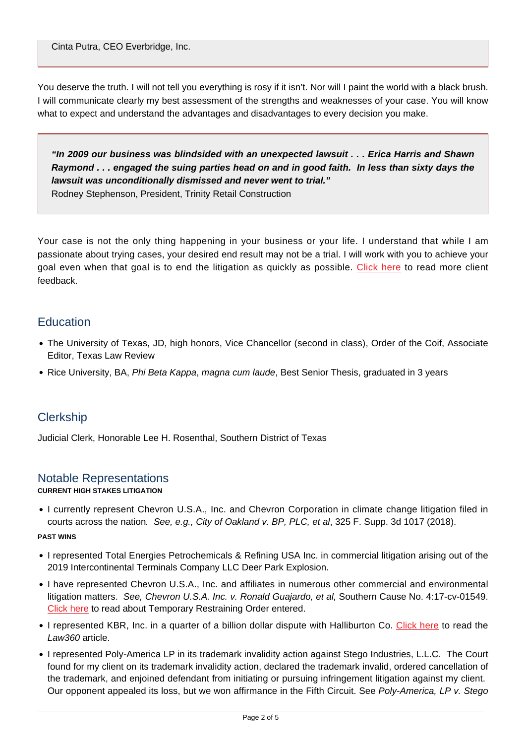Cinta Putra, CEO Everbridge, Inc.

You deserve the truth. I will not tell you everything is rosy if it isn't. Nor will I paint the world with a black brush. I will communicate clearly my best assessment of the strengths and weaknesses of your case. You will know what to expect and understand the advantages and disadvantages to every decision you make.

**"In 2009 our business was blindsided with an unexpected lawsuit . . . Erica Harris and Shawn Raymond . . . engaged the suing parties head on and in good faith. In less than sixty days the lawsuit was unconditionally dismissed and never went to trial."**

Rodney Stephenson, President, Trinity Retail Construction

Your case is not the only thing happening in your business or your life. I understand that while I am passionate about trying cases, your desired end result may not be a trial. I will work with you to achieve your goal even when that goal is to end the litigation as quickly as possible. [Click here](https://www.susmangodfrey.com/wp-content/uploads/2019/05/EricaHarris-ClientPraise.pdf) to read more client feedback.

### **Education**

- The University of Texas, JD, high honors, Vice Chancellor (second in class), Order of the Coif, Associate Editor, Texas Law Review
- Rice University, BA, Phi Beta Kappa, magna cum laude, Best Senior Thesis, graduated in 3 years

## **Clerkship**

Judicial Clerk, Honorable Lee H. Rosenthal, Southern District of Texas

#### Notable Representations

#### **CURRENT HIGH STAKES LITIGATION**

I currently represent Chevron U.S.A., Inc. and Chevron Corporation in climate change litigation filed in courts across the nation. See, e.g., City of Oakland v. BP, PLC, et al, 325 F. Supp. 3d 1017 (2018).

#### **PAST WINS**

- I represented Total Energies Petrochemicals & Refining USA Inc. in commercial litigation arising out of the 2019 Intercontinental Terminals Company LLC Deer Park Explosion.
- I have represented Chevron U.S.A., Inc. and affiliates in numerous other commercial and environmental litigation matters. See, Chevron U.S.A. Inc. v. Ronald Guajardo, et al, Southern Cause No. 4:17-cv-01549. [Click here](https://www.susmangodfrey.com/wp-content/uploads/2018/01/ehar-guajardo-tro.pdf) to read about Temporary Restraining Order entered.
- I represented KBR, Inc. in a quarter of a billion dollar dispute with Halliburton Co. [Click here](https://www.susmangodfrey.com/wp-content/uploads/2019/09/ehar-haliburton.pdf) to read the Law360 article.
- I represented Poly-America LP in its trademark invalidity action against Stego Industries, L.L.C. The Court found for my client on its trademark invalidity action, declared the trademark invalid, ordered cancellation of the trademark, and enjoined defendant from initiating or pursuing infringement litigation against my client. Our opponent appealed its loss, but we won affirmance in the Fifth Circuit. See Poly-America, LP v. Stego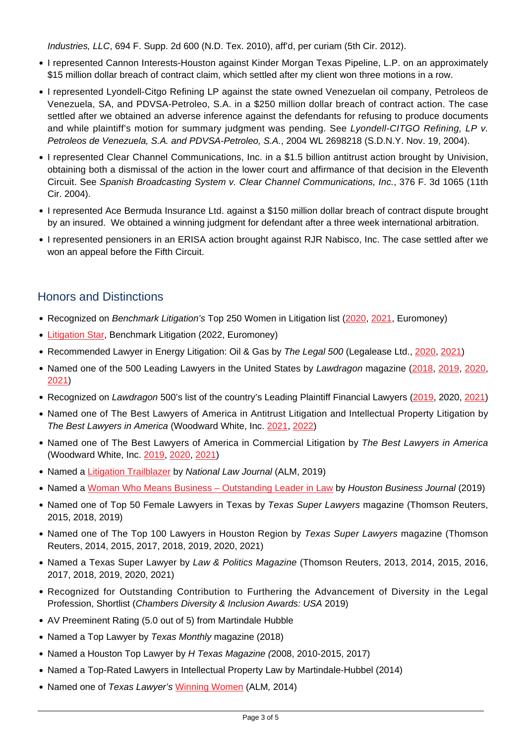Industries, LLC, 694 F. Supp. 2d 600 (N.D. Tex. 2010), aff'd, per curiam (5th Cir. 2012).

- I represented Cannon Interests-Houston against Kinder Morgan Texas Pipeline, L.P. on an approximately \$15 million dollar breach of contract claim, which settled after my client won three motions in a row.
- I represented Lyondell-Citgo Refining LP against the state owned Venezuelan oil company, Petroleos de Venezuela, SA, and PDVSA-Petroleo, S.A. in a \$250 million dollar breach of contract action. The case settled after we obtained an adverse inference against the defendants for refusing to produce documents and while plaintiff's motion for summary judgment was pending. See Lyondell-CITGO Refining, LP v. Petroleos de Venezuela, S.A. and PDVSA-Petroleo, S.A., 2004 WL 2698218 (S.D.N.Y. Nov. 19, 2004).
- I represented Clear Channel Communications, Inc. in a \$1.5 billion antitrust action brought by Univision, obtaining both a dismissal of the action in the lower court and affirmance of that decision in the Eleventh Circuit. See Spanish Broadcasting System v. Clear Channel Communications, Inc., 376 F. 3d 1065 (11th Cir. 2004).
- I represented Ace Bermuda Insurance Ltd. against a \$150 million dollar breach of contract dispute brought by an insured. We obtained a winning judgment for defendant after a three week international arbitration.
- I represented pensioners in an ERISA action brought against RJR Nabisco, Inc. The case settled after we won an appeal before the Fifth Circuit.

## Honors and Distinctions

- Recognized on Benchmark Litigation's Top 250 Women in Litigation list [\(2020](https://www.susmangodfrey.com/news-awards/sg-news/erica-harris-and-kalpana-srinivasan-named-top-women-litigators-by-benchmark-litigation/), [2021,](https://www.susmangodfrey.com/news-awards/sg-news/erica-harris-and-kalpana-srinivasan-named-among-the-top-250-women-litigators-in-the-country-for-the-second-year-in-a-row/) Euromoney)
- [Litigation Star,](https://www.susmangodfrey.com/news-awards/sg-news/benchmark-litigation-spotlights-susman-godfrey-and-32-partners-in-annual-rankings/) Benchmark Litigation (2022, Euromoney)
- Recommended Lawyer in Energy Litigation: Oil & Gas by The Legal 500 (Legalease Ltd., [2020](https://www.susmangodfrey.com/news-awards/sg-news/susman-godfrey-is-top-tier-nationally-in-antitrust-energy-and-general-commercial-disputes/), [2021](https://www.susmangodfrey.com/news-awards/sg-news/susman-godfrey-once-again-ranks-top-tier-in-antitrust-energy-and-general-commercial-disputes/))
- Named one of the 500 Leading Lawyers in the United States by Lawdragon magazine ([2018](https://www.susmangodfrey.com/news-awards/sg-news/lawdragon-names-ten-susman-godfrey-partners-to-its-annual-lawdragon-500-list/), [2019,](https://www.susmangodfrey.com/news-awards/sg-news/lawdragon-names-twelve-susman-godfrey-partners-to-its-annual-lawdragon-500-list/) [2020,](https://www.susmangodfrey.com/news-awards/sg-news/17-susman-godfrey-trial-lawyers-among-lawdragons-best-of-the-best-in-america/) [2021](https://www.lawdragon.com/2021/01/27/the-2021-lawdragon-500-leading-lawyers-in-america/))
- Recognized on Lawdragon 500's list of the country's Leading Plaintiff Financial Lawyers ([2019,](https://www.susmangodfrey.com/news-awards/sg-news/39-partners-recognized-on-lawdragon-500s-leading-plaintiff-financial-lawyers/) 2020, [2021](http://hambersandpartners.com/USA/firm/66652/susman-godfrey))
- Named one of The Best Lawyers of America in Antitrust Litigation and Intellectual Property Litigation by The Best Lawyers in America (Woodward White, Inc. [2021,](https://www.susmangodfrey.com/news-awards/sg-news/thirty-four-susman-godfrey-lawyers-deemed-best-lawyers-in-america/) [2022\)](https://www.susmangodfrey.com/news-awards/sg-news/thirty-six-susman-godfrey-lawyers-recognized-by-best-lawyers-in-america/)
- Named one of The Best Lawyers of America in Commercial Litigation by The Best Lawyers in America (Woodward White, Inc. [2019](https://www.susmangodfrey.com/news-awards/sg-news/two-susman-godfrey-attorneys-recognized-as-lawyers-of-the-year-and-22-others-listed-in-2019-the-best-lawyers-in-america/), [2020](https://www.susmangodfrey.com/news-awards/sg-news/two-susman-godfrey-attorneys-recognized-as-lawyers-of-the-year-and-23-others-listed-in-2020-the-best-lawyers-in-america/), [2021\)](https://www.susmangodfrey.com/news-awards/sg-news/thirty-four-susman-godfrey-lawyers-deemed-best-lawyers-in-america/)
- Named a *Litigation Trailblazer by National Law Journal* (ALM, 2019)
- Named a [Woman Who Means Business Outstanding Leader in Law](https://www.bizjournals.com/houston/news/2019/08/05/houston-area-leaders-named-as-hbjs-2019-women-who.html) by Houston Business Journal (2019)
- Named one of Top 50 Female Lawyers in Texas by Texas Super Lawyers magazine (Thomson Reuters, 2015, 2018, 2019)
- Named one of The Top 100 Lawyers in Houston Region by Texas Super Lawyers magazine (Thomson Reuters, 2014, 2015, 2017, 2018, 2019, 2020, 2021)
- Named a Texas Super Lawyer by Law & Politics Magazine (Thomson Reuters, 2013, 2014, 2015, 2016, 2017, 2018, 2019, 2020, 2021)
- Recognized for Outstanding Contribution to Furthering the Advancement of Diversity in the Legal Profession, Shortlist (Chambers Diversity & Inclusion Awards: USA 2019)
- AV Preeminent Rating (5.0 out of 5) from Martindale Hubble
- Named a Top Lawyer by Texas Monthly magazine (2018)
- Named a Houston Top Lawyer by H Texas Magazine (2008, 2010-2015, 2017)
- Named a Top-Rated Lawyers in Intellectual Property Law by Martindale-Hubbel (2014)
- Named one of Texas Lawyer's [Winning Women](https://www.susmangodfrey.com//www.susmangodfrey.com/wp-content/uploads/2018/01/ehar_-_winning_women_2014.pdf) (ALM, 2014)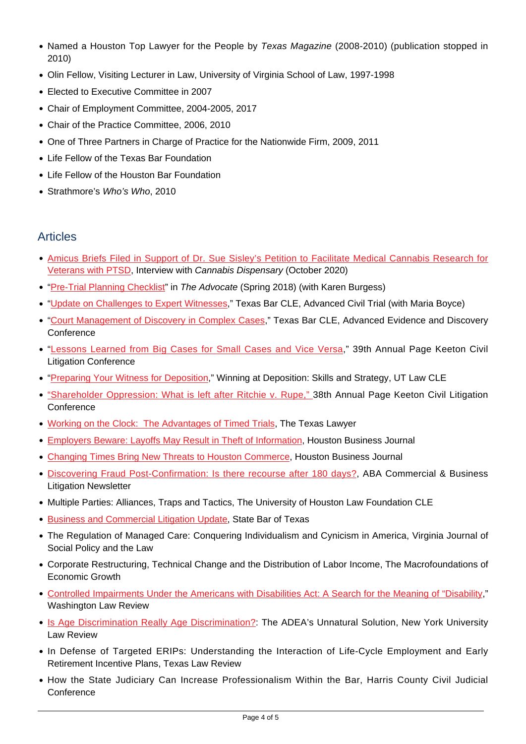- Named a Houston Top Lawyer for the People by Texas Magazine (2008-2010) (publication stopped in 2010)
- Olin Fellow, Visiting Lecturer in Law, University of Virginia School of Law, 1997-1998
- Elected to Executive Committee in 2007
- Chair of Employment Committee, 2004-2005, 2017
- Chair of the Practice Committee, 2006, 2010
- One of Three Partners in Charge of Practice for the Nationwide Firm, 2009, 2011
- Life Fellow of the Texas Bar Foundation
- Life Fellow of the Houston Bar Foundation
- Strathmore's Who's Who, 2010

## Articles

- [Amicus Briefs Filed in Support of Dr. Sue Sisley's Petition to Facilitate Medical Cannabis Research for](https://www.cannabisdispensarymag.com/article/amicus-briefs-filed-in-support-sue-sisley-petition-medical-cannabis-research/) [Veterans with PTSD](https://www.cannabisdispensarymag.com/article/amicus-briefs-filed-in-support-sue-sisley-petition-medical-cannabis-research/), Interview with Cannabis Dispensary (October 2020)
- ["Pre-Trial Planning Checklist"](https://www.susmangodfrey.com/wp-content/uploads/2019/09/Advocate_Spring2018_Articles_EricaHarris.pdf) in The Advocate (Spring 2018) (with Karen Burgess)
- ["Update on Challenges to Expert Witnesses](https://www.susmangodfrey.com/wp-content/uploads/2019/09/ehar-update-challenging-witnesses.pdf)," Texas Bar CLE, Advanced Civil Trial (with Maria Boyce)
- ["Court Management of Discovery in Complex Cases,](https://www.susmangodfrey.com//www.susmangodfrey.com/wp-content/uploads/2018/01/EHAR_-_Court_Management_of_Discovery_in_Complex_Cases.pdf)" Texas Bar CLE, Advanced Evidence and Discovery **Conference**
- . "[Lessons Learned from Big Cases for Small Cases and Vice Versa](https://www.susmangodfrey.com//www.susmangodfrey.com/wp-content/uploads/2018/01/ehar_-_page_keeton_cle_paper_on_lessons_learned_from_big_cases_for_small_cases_.pdf)," 39th Annual Page Keeton Civil Litigation Conference
- . ["Preparing Your Witness for Deposition,](https://www.susmangodfrey.com//www.susmangodfrey.com/wp-content/uploads/2018/01/ehar_-_paper_for_october_2015_ut_cle_on_preparing_your_witness_for_deposition.pdf)" Winning at Deposition: Skills and Strategy, UT Law CLE
- ["Shareholder Oppression: What is left after Ritchie v. Rupe,"](https://www.susmangodfrey.com/wp-content/uploads/2019/09/page-keeton-cle-ehr.pdf) 38th Annual Page Keeton Civil Litigation **Conference**
- [Working on the Clock: The Advantages of Timed Trials](https://www.susmangodfrey.com//www.susmangodfrey.com/wp-content/uploads/2018/01/ehar_-_the_advantages_of_timed_trials_-_the_texas_lawyer.pdf), The Texas Lawyer
- [Employers Beware: Layoffs May Result in Theft of Information](https://www.susmangodfrey.com//www.susmangodfrey.com/wp-content/uploads/2018/01/ehar_employers_beware_article_-_2009.pdf), Houston Business Journal
- [Changing Times Bring New Threats to Houston Commerce](https://www.susmangodfrey.com//www.susmangodfrey.com/wp-content/uploads/2018/01/ehar_-_changing_times.pdf), Houston Business Journal
- [Discovering Fraud Post-Confirmation: Is there recourse after 180 days?,](https://www.susmangodfrey.com//www.susmangodfrey.com/wp-content/uploads/2018/01/ehar_-_discovering_fraud_post_confirmation.pdf) ABA Commercial & Business Litigation Newsletter
- Multiple Parties: Alliances, Traps and Tactics, The University of Houston Law Foundation CLE
- [Business and Commercial Litigation Update](https://www.susmangodfrey.com//www.susmangodfrey.com/wp-content/uploads/2018/01/ear_-_business_commercial_update.pdf), State Bar of Texas
- The Regulation of Managed Care: Conquering Individualism and Cynicism in America, Virginia Journal of Social Policy and the Law
- Corporate Restructuring, Technical Change and the Distribution of Labor Income, The Macrofoundations of Economic Growth
- [Controlled Impairments Under the Americans with Disabilities Act: A Search for the Meaning of "Disability](https://www.susmangodfrey.com/wp-content/uploads/2019/09/ehar-wa-review.pdf)," Washington Law Review
- [Is Age Discrimination Really Age Discrimination?:](https://www.susmangodfrey.com/wp-content/uploads/2019/09/ehar-age-discrimination.pdf) The ADEA's Unnatural Solution, New York University Law Review
- In Defense of Targeted ERIPs: Understanding the Interaction of Life-Cycle Employment and Early Retirement Incentive Plans, Texas Law Review
- How the State Judiciary Can Increase Professionalism Within the Bar, Harris County Civil Judicial **Conference**